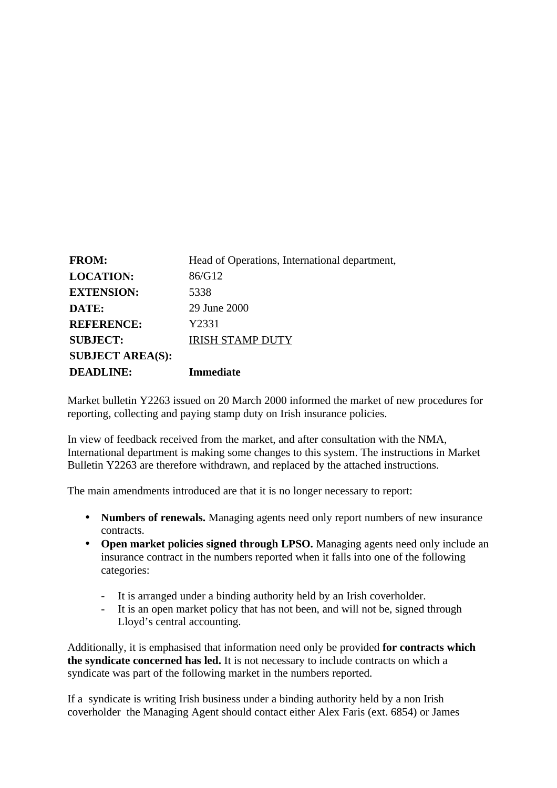| <b>FROM:</b>            | Head of Operations, International department, |
|-------------------------|-----------------------------------------------|
| <b>LOCATION:</b>        | 86/G12                                        |
| <b>EXTENSION:</b>       | 5338                                          |
| DATE:                   | 29 June 2000                                  |
| <b>REFERENCE:</b>       | Y2331                                         |
| <b>SUBJECT:</b>         | <b>IRISH STAMP DUTY</b>                       |
| <b>SUBJECT AREA(S):</b> |                                               |
| <b>DEADLINE:</b>        | <b>Immediate</b>                              |

Market bulletin Y2263 issued on 20 March 2000 informed the market of new procedures for reporting, collecting and paying stamp duty on Irish insurance policies.

In view of feedback received from the market, and after consultation with the NMA, International department is making some changes to this system. The instructions in Market Bulletin Y2263 are therefore withdrawn, and replaced by the attached instructions.

The main amendments introduced are that it is no longer necessary to report:

- **Numbers of renewals.** Managing agents need only report numbers of new insurance contracts.
- **Open market policies signed through LPSO.** Managing agents need only include an insurance contract in the numbers reported when it falls into one of the following categories:
	- It is arranged under a binding authority held by an Irish coverholder.
	- It is an open market policy that has not been, and will not be, signed through Lloyd's central accounting.

Additionally, it is emphasised that information need only be provided **for contracts which the syndicate concerned has led.** It is not necessary to include contracts on which a syndicate was part of the following market in the numbers reported.

If a syndicate is writing Irish business under a binding authority held by a non Irish coverholder the Managing Agent should contact either Alex Faris (ext. 6854) or James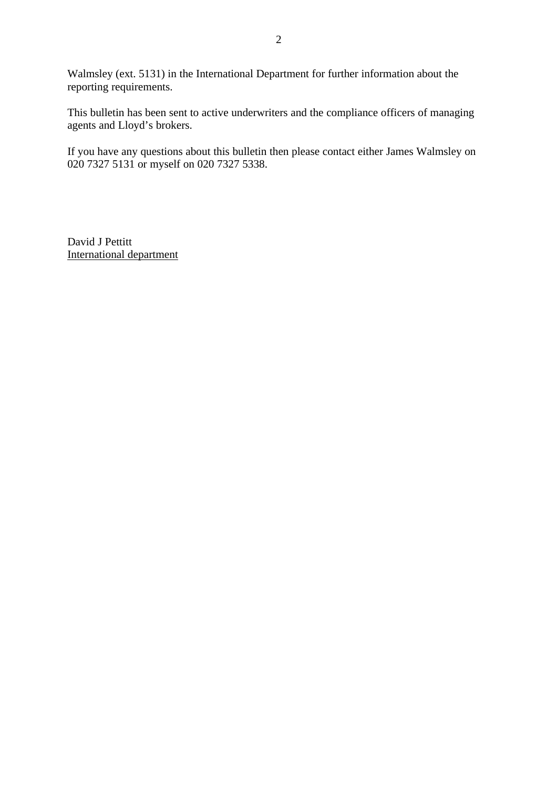Walmsley (ext. 5131) in the International Department for further information about the reporting requirements.

This bulletin has been sent to active underwriters and the compliance officers of managing agents and Lloyd's brokers.

If you have any questions about this bulletin then please contact either James Walmsley on 020 7327 5131 or myself on 020 7327 5338.

David J Pettitt International department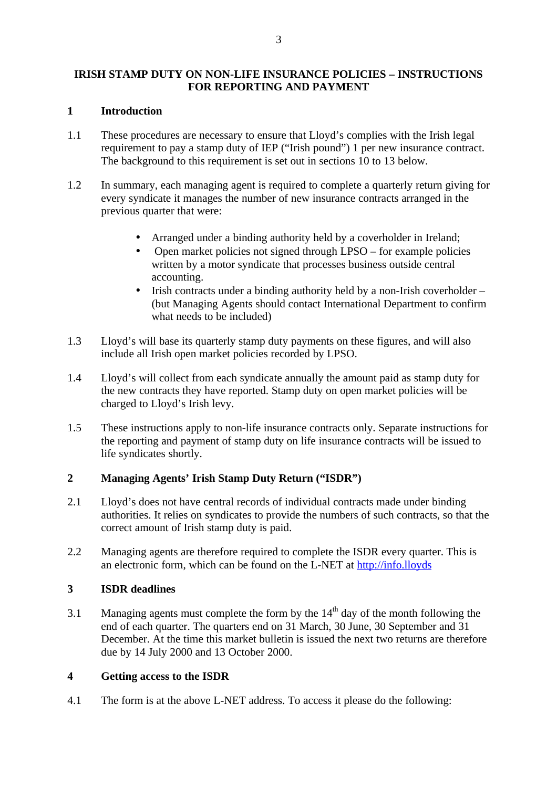## **IRISH STAMP DUTY ON NON-LIFE INSURANCE POLICIES – INSTRUCTIONS FOR REPORTING AND PAYMENT**

#### **1 Introduction**

- 1.1 These procedures are necessary to ensure that Lloyd's complies with the Irish legal requirement to pay a stamp duty of IEP ("Irish pound") 1 per new insurance contract. The background to this requirement is set out in sections 10 to 13 below.
- 1.2 In summary, each managing agent is required to complete a quarterly return giving for every syndicate it manages the number of new insurance contracts arranged in the previous quarter that were:
	- Arranged under a binding authority held by a coverholder in Ireland;
	- Open market policies not signed through LPSO for example policies written by a motor syndicate that processes business outside central accounting.
	- Irish contracts under a binding authority held by a non-Irish coverholder (but Managing Agents should contact International Department to confirm what needs to be included)
- 1.3 Lloyd's will base its quarterly stamp duty payments on these figures, and will also include all Irish open market policies recorded by LPSO.
- 1.4 Lloyd's will collect from each syndicate annually the amount paid as stamp duty for the new contracts they have reported. Stamp duty on open market policies will be charged to Lloyd's Irish levy.
- 1.5 These instructions apply to non-life insurance contracts only. Separate instructions for the reporting and payment of stamp duty on life insurance contracts will be issued to life syndicates shortly.

# **2 Managing Agents' Irish Stamp Duty Return ("ISDR")**

- 2.1 Lloyd's does not have central records of individual contracts made under binding authorities. It relies on syndicates to provide the numbers of such contracts, so that the correct amount of Irish stamp duty is paid.
- 2.2 Managing agents are therefore required to complete the ISDR every quarter. This is an electronic form, which can be found on the L-NET at http://info.lloyds

# **3 ISDR deadlines**

3.1 Managing agents must complete the form by the  $14<sup>th</sup>$  day of the month following the end of each quarter. The quarters end on 31 March, 30 June, 30 September and 31 December. At the time this market bulletin is issued the next two returns are therefore due by 14 July 2000 and 13 October 2000.

#### **4 Getting access to the ISDR**

4.1 The form is at the above L-NET address. To access it please do the following: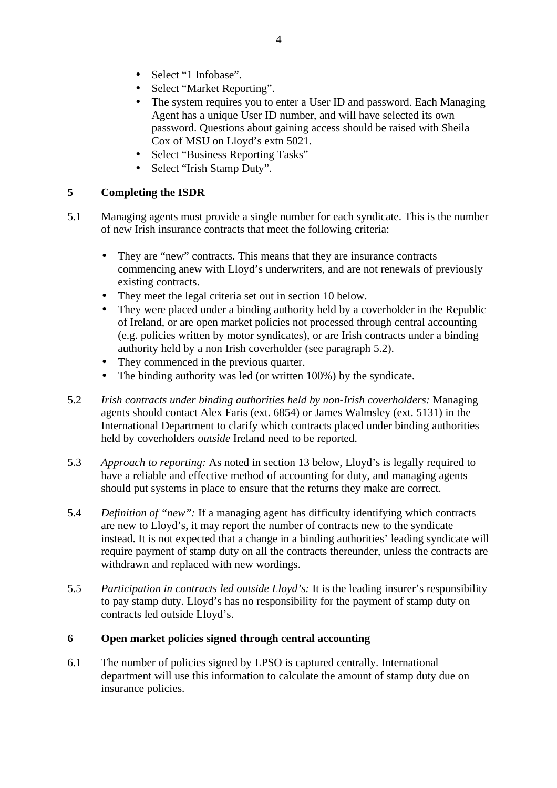- Select "1 Infobase".
- Select "Market Reporting".
- The system requires you to enter a User ID and password. Each Managing Agent has a unique User ID number, and will have selected its own password. Questions about gaining access should be raised with Sheila Cox of MSU on Lloyd's extn 5021.
- Select "Business Reporting Tasks"
- Select "Irish Stamp Duty".

## **5 Completing the ISDR**

- 5.1 Managing agents must provide a single number for each syndicate. This is the number of new Irish insurance contracts that meet the following criteria:
	- They are "new" contracts. This means that they are insurance contracts commencing anew with Lloyd's underwriters, and are not renewals of previously existing contracts.
	- They meet the legal criteria set out in section 10 below.
	- They were placed under a binding authority held by a coverholder in the Republic of Ireland, or are open market policies not processed through central accounting (e.g. policies written by motor syndicates), or are Irish contracts under a binding authority held by a non Irish coverholder (see paragraph 5.2).
	- They commenced in the previous quarter.
	- The binding authority was led (or written 100%) by the syndicate.
- 5.2 *Irish contracts under binding authorities held by non-Irish coverholders:* Managing agents should contact Alex Faris (ext. 6854) or James Walmsley (ext. 5131) in the International Department to clarify which contracts placed under binding authorities held by coverholders *outside* Ireland need to be reported.
- 5.3 *Approach to reporting:* As noted in section 13 below, Lloyd's is legally required to have a reliable and effective method of accounting for duty, and managing agents should put systems in place to ensure that the returns they make are correct.
- 5.4 *Definition of "new":* If a managing agent has difficulty identifying which contracts are new to Lloyd's, it may report the number of contracts new to the syndicate instead. It is not expected that a change in a binding authorities' leading syndicate will require payment of stamp duty on all the contracts thereunder, unless the contracts are withdrawn and replaced with new wordings.
- 5.5 *Participation in contracts led outside Lloyd's:* It is the leading insurer's responsibility to pay stamp duty. Lloyd's has no responsibility for the payment of stamp duty on contracts led outside Lloyd's.

#### **6 Open market policies signed through central accounting**

6.1 The number of policies signed by LPSO is captured centrally. International department will use this information to calculate the amount of stamp duty due on insurance policies.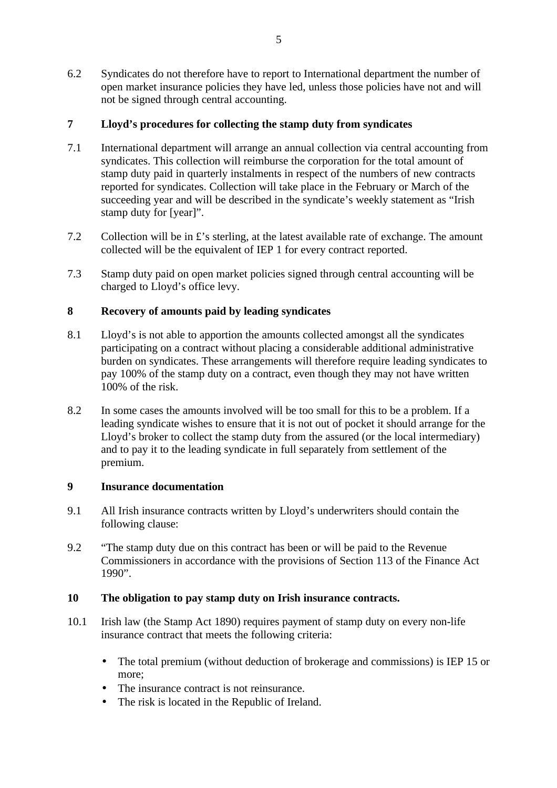6.2 Syndicates do not therefore have to report to International department the number of open market insurance policies they have led, unless those policies have not and will not be signed through central accounting.

# **7 Lloyd's procedures for collecting the stamp duty from syndicates**

- 7.1 International department will arrange an annual collection via central accounting from syndicates. This collection will reimburse the corporation for the total amount of stamp duty paid in quarterly instalments in respect of the numbers of new contracts reported for syndicates. Collection will take place in the February or March of the succeeding year and will be described in the syndicate's weekly statement as "Irish stamp duty for [year]".
- 7.2 Collection will be in £'s sterling, at the latest available rate of exchange. The amount collected will be the equivalent of IEP 1 for every contract reported.
- 7.3 Stamp duty paid on open market policies signed through central accounting will be charged to Lloyd's office levy.

# **8 Recovery of amounts paid by leading syndicates**

- 8.1 Lloyd's is not able to apportion the amounts collected amongst all the syndicates participating on a contract without placing a considerable additional administrative burden on syndicates. These arrangements will therefore require leading syndicates to pay 100% of the stamp duty on a contract, even though they may not have written 100% of the risk.
- 8.2 In some cases the amounts involved will be too small for this to be a problem. If a leading syndicate wishes to ensure that it is not out of pocket it should arrange for the Lloyd's broker to collect the stamp duty from the assured (or the local intermediary) and to pay it to the leading syndicate in full separately from settlement of the premium.

# **9 Insurance documentation**

- 9.1 All Irish insurance contracts written by Lloyd's underwriters should contain the following clause:
- 9.2 "The stamp duty due on this contract has been or will be paid to the Revenue Commissioners in accordance with the provisions of Section 113 of the Finance Act 1990".

# **10 The obligation to pay stamp duty on Irish insurance contracts.**

- 10.1 Irish law (the Stamp Act 1890) requires payment of stamp duty on every non-life insurance contract that meets the following criteria:
	- The total premium (without deduction of brokerage and commissions) is IEP 15 or more;
	- The insurance contract is not reinsurance.
	- The risk is located in the Republic of Ireland.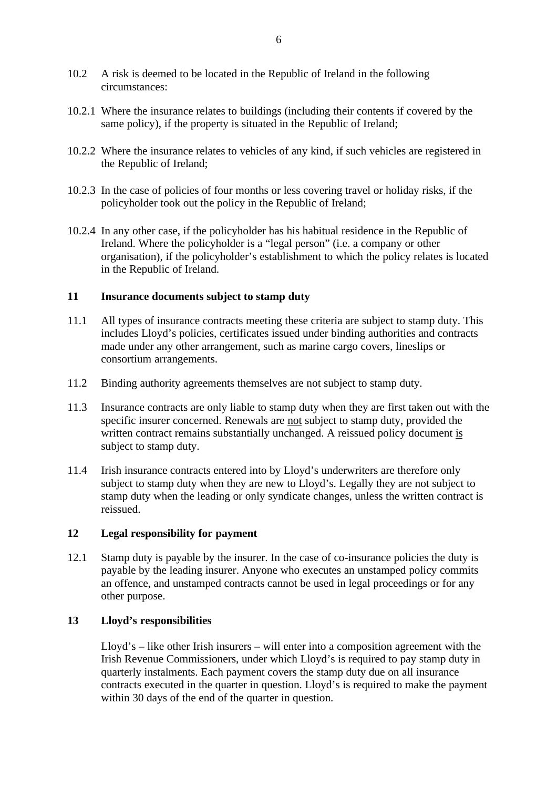- 10.2 A risk is deemed to be located in the Republic of Ireland in the following circumstances:
- 10.2.1 Where the insurance relates to buildings (including their contents if covered by the same policy), if the property is situated in the Republic of Ireland;
- 10.2.2 Where the insurance relates to vehicles of any kind, if such vehicles are registered in the Republic of Ireland;
- 10.2.3 In the case of policies of four months or less covering travel or holiday risks, if the policyholder took out the policy in the Republic of Ireland;
- 10.2.4 In any other case, if the policyholder has his habitual residence in the Republic of Ireland. Where the policyholder is a "legal person" (i.e. a company or other organisation), if the policyholder's establishment to which the policy relates is located in the Republic of Ireland.

#### **11 Insurance documents subject to stamp duty**

- 11.1 All types of insurance contracts meeting these criteria are subject to stamp duty. This includes Lloyd's policies, certificates issued under binding authorities and contracts made under any other arrangement, such as marine cargo covers, lineslips or consortium arrangements.
- 11.2 Binding authority agreements themselves are not subject to stamp duty.
- 11.3 Insurance contracts are only liable to stamp duty when they are first taken out with the specific insurer concerned. Renewals are not subject to stamp duty, provided the written contract remains substantially unchanged. A reissued policy document is subject to stamp duty.
- 11.4 Irish insurance contracts entered into by Lloyd's underwriters are therefore only subject to stamp duty when they are new to Lloyd's. Legally they are not subject to stamp duty when the leading or only syndicate changes, unless the written contract is reissued.

#### **12 Legal responsibility for payment**

12.1 Stamp duty is payable by the insurer. In the case of co-insurance policies the duty is payable by the leading insurer. Anyone who executes an unstamped policy commits an offence, and unstamped contracts cannot be used in legal proceedings or for any other purpose.

#### **13 Lloyd's responsibilities**

Lloyd's – like other Irish insurers – will enter into a composition agreement with the Irish Revenue Commissioners, under which Lloyd's is required to pay stamp duty in quarterly instalments. Each payment covers the stamp duty due on all insurance contracts executed in the quarter in question. Lloyd's is required to make the payment within 30 days of the end of the quarter in question.